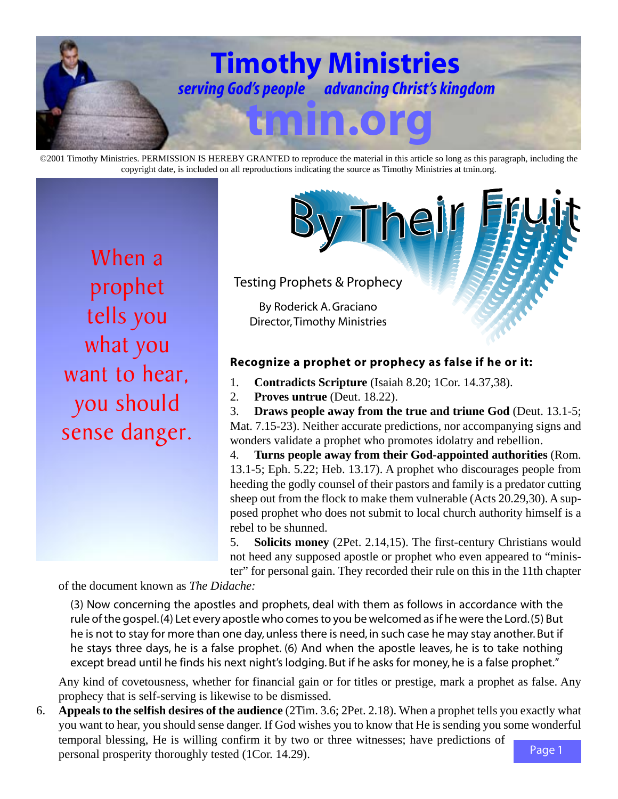

©2001 Timothy Ministries. PERMISSION IS HEREBY GRANTED to reproduce the material in this article so long as this paragraph, including the copyright date, is included on all reproductions indicating the source as Timothy Ministries at tmin.org.

When a prophet tells you what you want to hear, you should sense danger.

Testing Prophets & Prophecy

By Roderick A. Graciano Director, Timothy Ministries

## **Recognize a prophet or prophecy as false if he or it:**

1. **Contradicts Scripture** (Isaiah 8.20; 1Cor. 14.37,38).

2. **Proves untrue** (Deut. 18.22).

3. **Draws people away from the true and triune God** (Deut. 13.1-5; Mat. 7.15-23). Neither accurate predictions, nor accompanying signs and wonders validate a prophet who promotes idolatry and rebellion.

Their

4. **Turns people away from their God-appointed authorities** (Rom. 13.1-5; Eph. 5.22; Heb. 13.17). A prophet who discourages people from heeding the godly counsel of their pastors and family is a predator cutting sheep out from the flock to make them vulnerable (Acts 20.29,30). A supposed prophet who does not submit to local church authority himself is a rebel to be shunned.

5. **Solicits money** (2Pet. 2.14,15). The first-century Christians would not heed any supposed apostle or prophet who even appeared to "minister" for personal gain. They recorded their rule on this in the 11th chapter

of the document known as *The Didache:*

(3) Now concerning the apostles and prophets, deal with them as follows in accordance with the rule of the gospel. (4) Let every apostle who comes to you be welcomed as if he were the Lord. (5) But he is not to stay for more than one day, unless there is need, in such case he may stay another. But if he stays three days, he is a false prophet. (6) And when the apostle leaves, he is to take nothing except bread until he finds his next night's lodging. But if he asks for money, he is a false prophet."

Any kind of covetousness, whether for financial gain or for titles or prestige, mark a prophet as false. Any prophecy that is self-serving is likewise to be dismissed.

Page 1 6. **Appeals to the selfish desires of the audience** (2Tim. 3.6; 2Pet. 2.18). When a prophet tells you exactly what you want to hear, you should sense danger. If God wishes you to know that He is sending you some wonderful temporal blessing, He is willing confirm it by two or three witnesses; have predictions of personal prosperity thoroughly tested (1Cor. 14.29).